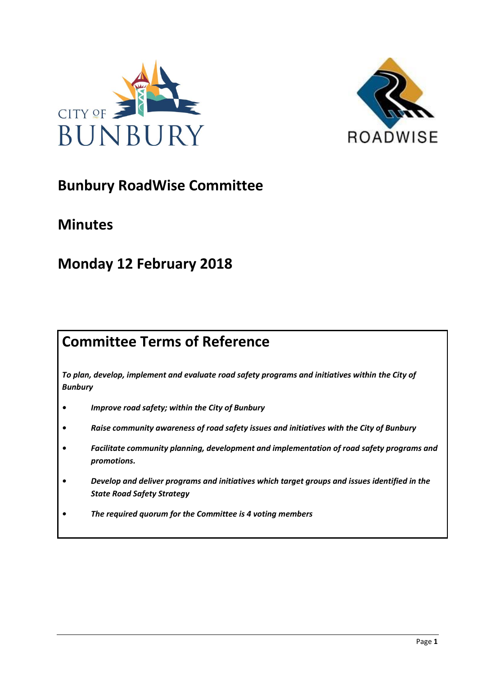



# **Bunbury RoadWise Committee**

# **Minutes**

# **Monday 12 February 2018**

# **Committee Terms of Reference**

*To plan, develop, implement and evaluate road safety programs and initiatives within the City of Bunbury*

- *• Improve road safety; within the City of Bunbury*
- *• Raise community awareness of road safety issues and initiatives with the City of Bunbury*
- *• Facilitate community planning, development and implementation of road safety programs and promotions.*
- *• Develop and deliver programs and initiatives which target groups and issues identified in the State Road Safety Strategy*
- *• The required quorum for the Committee is 4 voting members*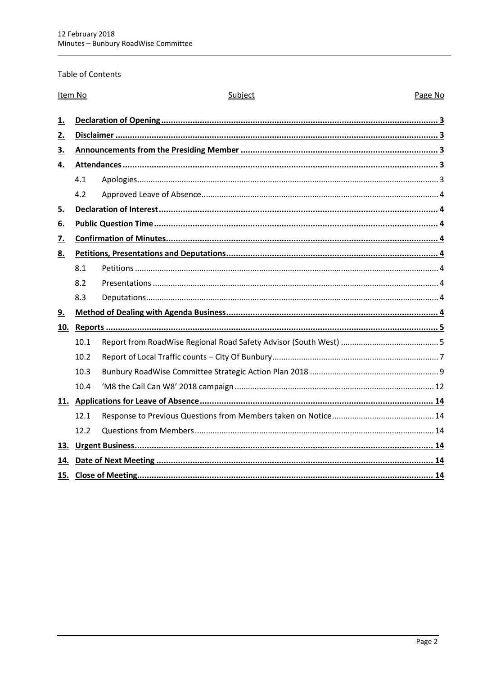## Table of Contents

| Item No   |      | Subject<br>Page No |
|-----------|------|--------------------|
| 1.        |      |                    |
| 2.        |      |                    |
| <u>3.</u> |      |                    |
| <u>4.</u> |      |                    |
|           | 4.1  |                    |
|           | 4.2  |                    |
| 5.        |      |                    |
| 6.        |      |                    |
| 7.        |      |                    |
| 8.        |      |                    |
|           | 8.1  |                    |
|           | 8.2  |                    |
|           | 8.3  |                    |
| <u>9.</u> |      |                    |
| 10.       |      |                    |
|           | 10.1 |                    |
|           | 10.2 |                    |
|           | 10.3 |                    |
|           | 10.4 |                    |
|           |      |                    |
|           | 12.1 |                    |
|           | 12.2 |                    |
| 13.       |      |                    |
| 14.       |      |                    |
|           |      |                    |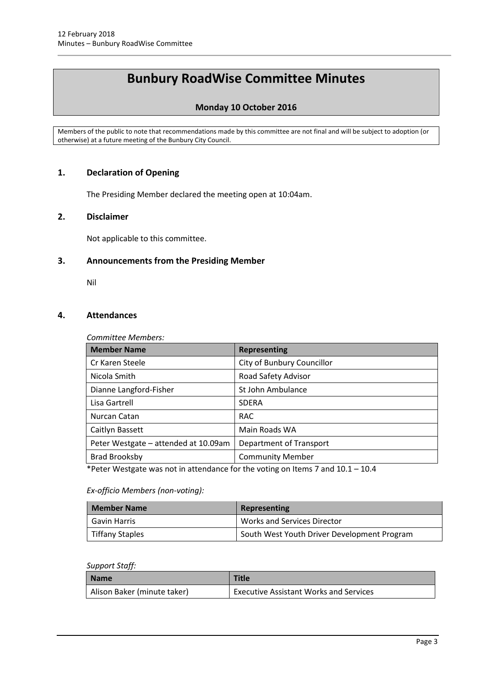# **Bunbury RoadWise Committee Minutes**

# **Monday 10 October 2016**

Members of the public to note that recommendations made by this committee are not final and will be subject to adoption (or otherwise) at a future meeting of the Bunbury City Council.

# <span id="page-2-0"></span>**1. Declaration of Opening**

The Presiding Member declared the meeting open at 10:04am.

## <span id="page-2-1"></span>**2. Disclaimer**

Not applicable to this committee.

## <span id="page-2-2"></span>**3. Announcements from the Presiding Member**

Nil

## <span id="page-2-3"></span>**4. Attendances**

*Committee Members:*

| <b>Member Name</b>                   | <b>Representing</b>        |
|--------------------------------------|----------------------------|
| Cr Karen Steele                      | City of Bunbury Councillor |
| Nicola Smith                         | Road Safety Advisor        |
| Dianne Langford-Fisher               | St John Ambulance          |
| Lisa Gartrell                        | <b>SDFRA</b>               |
| Nurcan Catan                         | <b>RAC</b>                 |
| Caitlyn Bassett                      | Main Roads WA              |
| Peter Westgate - attended at 10.09am | Department of Transport    |
| <b>Brad Brooksby</b>                 | <b>Community Member</b>    |

\*Peter Westgate was not in attendance for the voting on Items 7 and  $10.1 - 10.4$ 

# *Ex-officio Members (non-voting):*

<span id="page-2-4"></span>

| <b>Member Name</b>     | Representing                                |
|------------------------|---------------------------------------------|
| Gavin Harris           | <b>Works and Services Director</b>          |
| <b>Tiffany Staples</b> | South West Youth Driver Development Program |

#### *Support Staff:*

| <b>Name</b>                 | <b>Title</b>                                  |
|-----------------------------|-----------------------------------------------|
| Alison Baker (minute taker) | <b>Executive Assistant Works and Services</b> |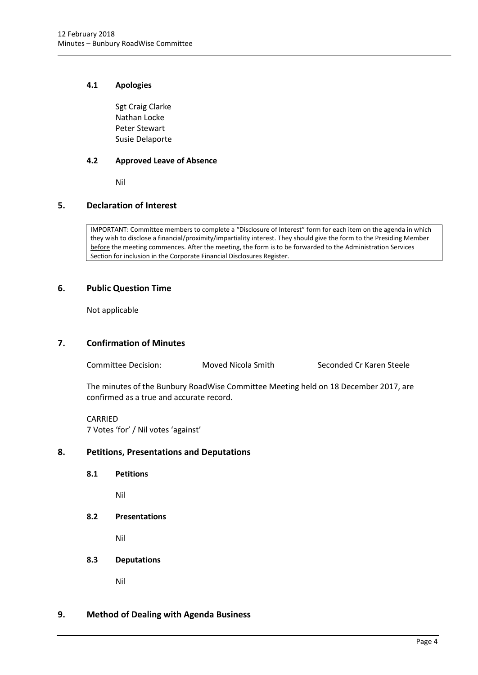## **4.1 Apologies**

Sgt Craig Clarke Nathan Locke Peter Stewart Susie Delaporte

## <span id="page-3-0"></span>**4.2 Approved Leave of Absence**

Nil

# <span id="page-3-1"></span>**5. Declaration of Interest**

IMPORTANT: Committee members to complete a "Disclosure of Interest" form for each item on the agenda in which they wish to disclose a financial/proximity/impartiality interest. They should give the form to the Presiding Member before the meeting commences. After the meeting, the form is to be forwarded to the Administration Services Section for inclusion in the Corporate Financial Disclosures Register.

## <span id="page-3-2"></span>**6. Public Question Time**

Not applicable

## <span id="page-3-3"></span>**7. Confirmation of Minutes**

Committee Decision: Moved Nicola Smith Seconded Cr Karen Steele

The minutes of the Bunbury RoadWise Committee Meeting held on 18 December 2017, are confirmed as a true and accurate record.

CARRIED 7 Votes 'for' / Nil votes 'against'

# <span id="page-3-5"></span><span id="page-3-4"></span>**8. Petitions, Presentations and Deputations**

**8.1 Petitions**

Nil

<span id="page-3-6"></span>**8.2 Presentations**

Nil

<span id="page-3-7"></span>**8.3 Deputations**

Nil

## <span id="page-3-8"></span>**9. Method of Dealing with Agenda Business**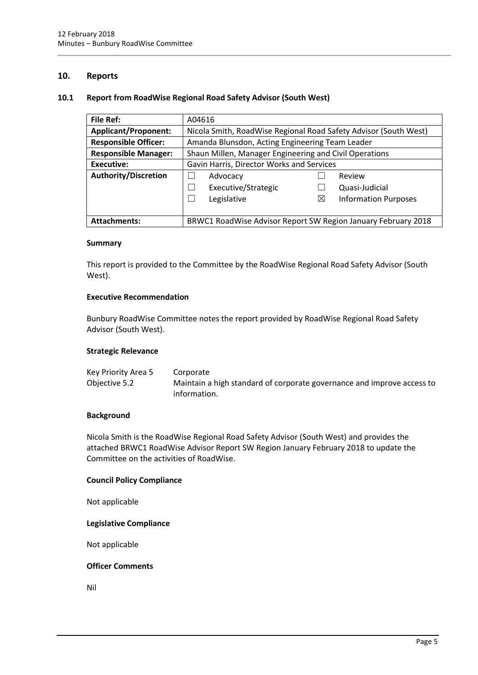## <span id="page-4-0"></span>**10. Reports**

## <span id="page-4-1"></span>**10.1 Report from RoadWise Regional Road Safety Advisor (South West)**

| <b>File Ref:</b>            | A04616                                                 |                                                                  |
|-----------------------------|--------------------------------------------------------|------------------------------------------------------------------|
| <b>Applicant/Proponent:</b> |                                                        | Nicola Smith, RoadWise Regional Road Safety Advisor (South West) |
| <b>Responsible Officer:</b> | Amanda Blunsdon, Acting Engineering Team Leader        |                                                                  |
| <b>Responsible Manager:</b> | Shaun Millen, Manager Engineering and Civil Operations |                                                                  |
| Executive:                  | Gavin Harris, Director Works and Services              |                                                                  |
| <b>Authority/Discretion</b> | Advocacy                                               | Review                                                           |
|                             | Executive/Strategic<br>$\overline{\phantom{0}}$        | Quasi-Judicial                                                   |
|                             | Legislative                                            | $\boxtimes$<br><b>Information Purposes</b>                       |
|                             |                                                        |                                                                  |
| <b>Attachments:</b>         |                                                        | BRWC1 RoadWise Advisor Report SW Region January February 2018    |

### **Summary**

This report is provided to the Committee by the RoadWise Regional Road Safety Advisor (South West).

## **Executive Recommendation**

Bunbury RoadWise Committee notes the report provided by RoadWise Regional Road Safety Advisor (South West).

### **Strategic Relevance**

| Key Priority Area 5 | Corporate                                                              |
|---------------------|------------------------------------------------------------------------|
| Objective 5.2       | Maintain a high standard of corporate governance and improve access to |
|                     | information.                                                           |

### **Background**

Nicola Smith is the RoadWise Regional Road Safety Advisor (South West) and provides the attached BRWC1 RoadWise Advisor Report SW Region January February 2018 to update the Committee on the activities of RoadWise.

## **Council Policy Compliance**

Not applicable

## **Legislative Compliance**

Not applicable

### **Officer Comments**

Nil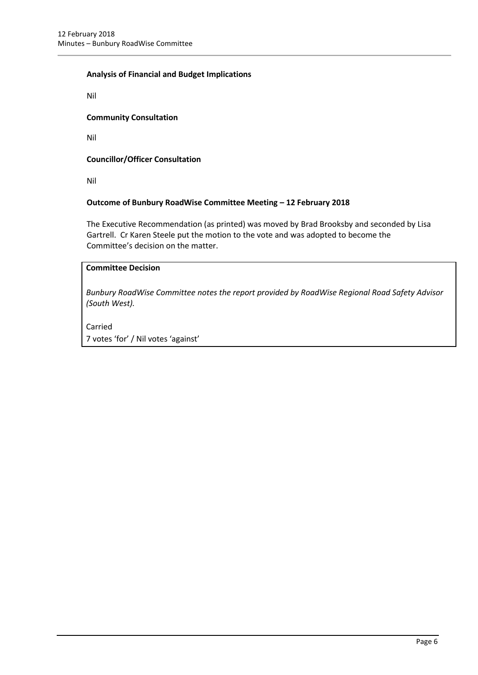## **Analysis of Financial and Budget Implications**

Nil

## **Community Consultation**

Nil

## **Councillor/Officer Consultation**

Nil

## **Outcome of Bunbury RoadWise Committee Meeting – 12 February 2018**

The Executive Recommendation (as printed) was moved by Brad Brooksby and seconded by Lisa Gartrell. Cr Karen Steele put the motion to the vote and was adopted to become the Committee's decision on the matter.

## **Committee Decision**

*Bunbury RoadWise Committee notes the report provided by RoadWise Regional Road Safety Advisor (South West).*

Carried

7 votes 'for' / Nil votes 'against'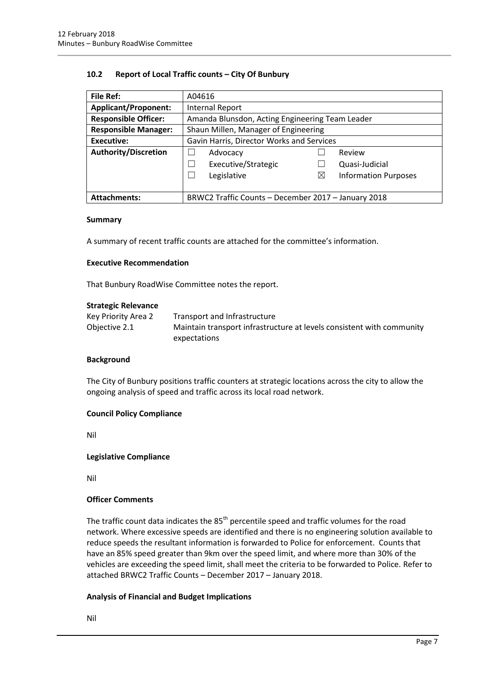## <span id="page-6-0"></span>**10.2 Report of Local Traffic counts – City Of Bunbury**

| <b>File Ref:</b>            | A04616                                                    |  |
|-----------------------------|-----------------------------------------------------------|--|
| <b>Applicant/Proponent:</b> | <b>Internal Report</b>                                    |  |
| <b>Responsible Officer:</b> | Amanda Blunsdon, Acting Engineering Team Leader           |  |
| <b>Responsible Manager:</b> | Shaun Millen, Manager of Engineering                      |  |
| <b>Executive:</b>           | Gavin Harris, Director Works and Services                 |  |
| Authority/Discretion        | Advocacy<br>Review                                        |  |
|                             | Executive/Strategic<br>Quasi-Judicial                     |  |
|                             | Legislative<br><b>Information Purposes</b><br>$\boxtimes$ |  |
|                             |                                                           |  |
| <b>Attachments:</b>         | BRWC2 Traffic Counts - December 2017 - January 2018       |  |

### **Summary**

A summary of recent traffic counts are attached for the committee's information.

### **Executive Recommendation**

That Bunbury RoadWise Committee notes the report.

### **Strategic Relevance**

| Key Priority Area 2 | Transport and Infrastructure                                          |
|---------------------|-----------------------------------------------------------------------|
| Objective 2.1       | Maintain transport infrastructure at levels consistent with community |
|                     | expectations                                                          |

### **Background**

The City of Bunbury positions traffic counters at strategic locations across the city to allow the ongoing analysis of speed and traffic across its local road network.

### **Council Policy Compliance**

Nil

### **Legislative Compliance**

Nil

### **Officer Comments**

The traffic count data indicates the  $85<sup>th</sup>$  percentile speed and traffic volumes for the road network. Where excessive speeds are identified and there is no engineering solution available to reduce speeds the resultant information is forwarded to Police for enforcement. Counts that have an 85% speed greater than 9km over the speed limit, and where more than 30% of the vehicles are exceeding the speed limit, shall meet the criteria to be forwarded to Police. Refer to attached BRWC2 Traffic Counts – December 2017 – January 2018.

# **Analysis of Financial and Budget Implications**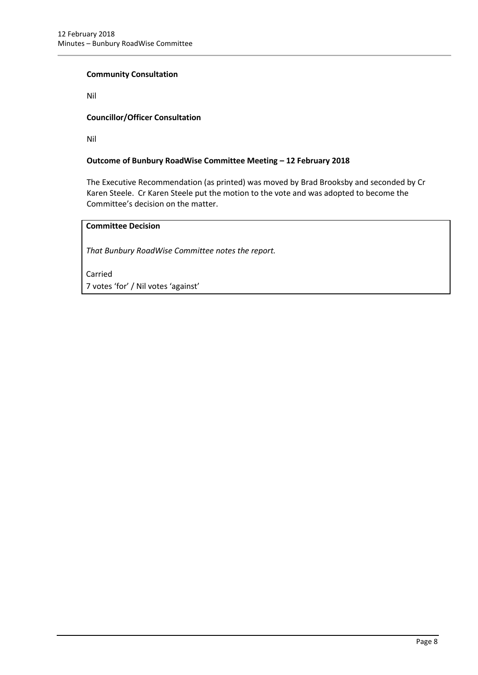## **Community Consultation**

Nil

# **Councillor/Officer Consultation**

Nil

## **Outcome of Bunbury RoadWise Committee Meeting – 12 February 2018**

The Executive Recommendation (as printed) was moved by Brad Brooksby and seconded by Cr Karen Steele. Cr Karen Steele put the motion to the vote and was adopted to become the Committee's decision on the matter.

# **Committee Decision**

*That Bunbury RoadWise Committee notes the report.*

Carried 7 votes 'for' / Nil votes 'against'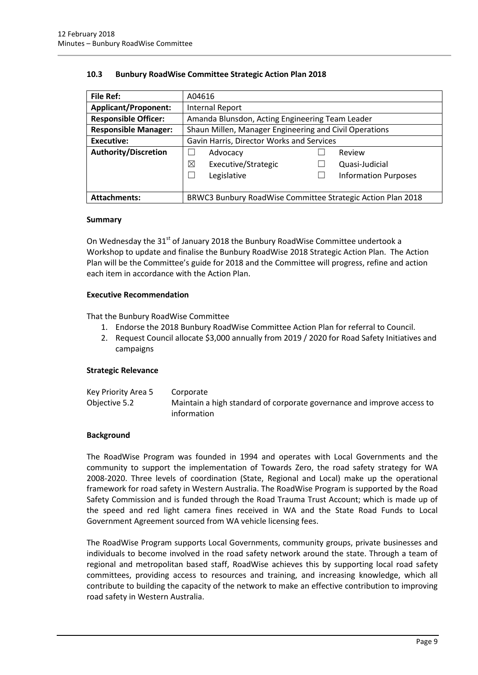## <span id="page-8-0"></span>**10.3 Bunbury RoadWise Committee Strategic Action Plan 2018**

| <b>File Ref:</b>            | A04616                                                 |                                                             |
|-----------------------------|--------------------------------------------------------|-------------------------------------------------------------|
| <b>Applicant/Proponent:</b> | Internal Report                                        |                                                             |
| <b>Responsible Officer:</b> | Amanda Blunsdon, Acting Engineering Team Leader        |                                                             |
| <b>Responsible Manager:</b> | Shaun Millen, Manager Engineering and Civil Operations |                                                             |
| <b>Executive:</b>           | Gavin Harris, Director Works and Services              |                                                             |
| <b>Authority/Discretion</b> | Advocacy                                               | Review                                                      |
|                             | ⊠<br>Executive/Strategic                               | Quasi-Judicial                                              |
|                             | Legislative<br>$\overline{\phantom{a}}$                | <b>Information Purposes</b>                                 |
|                             |                                                        |                                                             |
| <b>Attachments:</b>         |                                                        | BRWC3 Bunbury RoadWise Committee Strategic Action Plan 2018 |

### **Summary**

On Wednesday the 31<sup>st</sup> of January 2018 the Bunbury RoadWise Committee undertook a Workshop to update and finalise the Bunbury RoadWise 2018 Strategic Action Plan. The Action Plan will be the Committee's guide for 2018 and the Committee will progress, refine and action each item in accordance with the Action Plan.

### **Executive Recommendation**

That the Bunbury RoadWise Committee

- 1. Endorse the 2018 Bunbury RoadWise Committee Action Plan for referral to Council.
- 2. Request Council allocate \$3,000 annually from 2019 / 2020 for Road Safety Initiatives and campaigns

### **Strategic Relevance**

| Key Priority Area 5 | Corporate                                                              |
|---------------------|------------------------------------------------------------------------|
| Objective 5.2       | Maintain a high standard of corporate governance and improve access to |
|                     | information                                                            |

### **Background**

The RoadWise Program was founded in 1994 and operates with Local Governments and the community to support the implementation of Towards Zero, the road safety strategy for WA 2008-2020. Three levels of coordination (State, Regional and Local) make up the operational framework for road safety in Western Australia. The RoadWise Program is supported by the Road Safety Commission and is funded through the Road Trauma Trust Account; which is made up of the speed and red light camera fines received in WA and the State Road Funds to Local Government Agreement sourced from WA vehicle licensing fees.

The RoadWise Program supports Local Governments, community groups, private businesses and individuals to become involved in the road safety network around the state. Through a team of regional and metropolitan based staff, RoadWise achieves this by supporting local road safety committees, providing access to resources and training, and increasing knowledge, which all contribute to building the capacity of the network to make an effective contribution to improving road safety in Western Australia.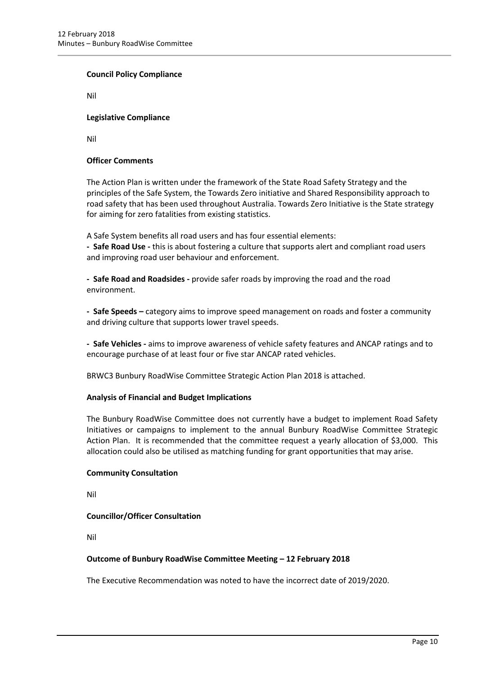## **Council Policy Compliance**

Nil

## **Legislative Compliance**

Nil

## **Officer Comments**

The Action Plan is written under the framework of the State Road Safety Strategy and the principles of the Safe System, the Towards Zero initiative and Shared Responsibility approach to road safety that has been used throughout Australia. Towards Zero Initiative is the State strategy for aiming for zero fatalities from existing statistics.

A Safe System benefits all road users and has four essential elements:

**- Safe Road Use -** this is about fostering a culture that supports alert and compliant road users and improving road user behaviour and enforcement.

**- Safe Road and Roadsides -** provide safer roads by improving the road and the road environment.

**- Safe Speeds –** category aims to improve speed management on roads and foster a community and driving culture that supports lower travel speeds.

**- Safe Vehicles -** aims to improve awareness of vehicle safety features and ANCAP ratings and to encourage purchase of at least four or five star ANCAP rated vehicles.

BRWC3 Bunbury RoadWise Committee Strategic Action Plan 2018 is attached.

### **Analysis of Financial and Budget Implications**

The Bunbury RoadWise Committee does not currently have a budget to implement Road Safety Initiatives or campaigns to implement to the annual Bunbury RoadWise Committee Strategic Action Plan. It is recommended that the committee request a yearly allocation of \$3,000. This allocation could also be utilised as matching funding for grant opportunities that may arise.

### **Community Consultation**

Nil

### **Councillor/Officer Consultation**

Nil

### **Outcome of Bunbury RoadWise Committee Meeting – 12 February 2018**

The Executive Recommendation was noted to have the incorrect date of 2019/2020.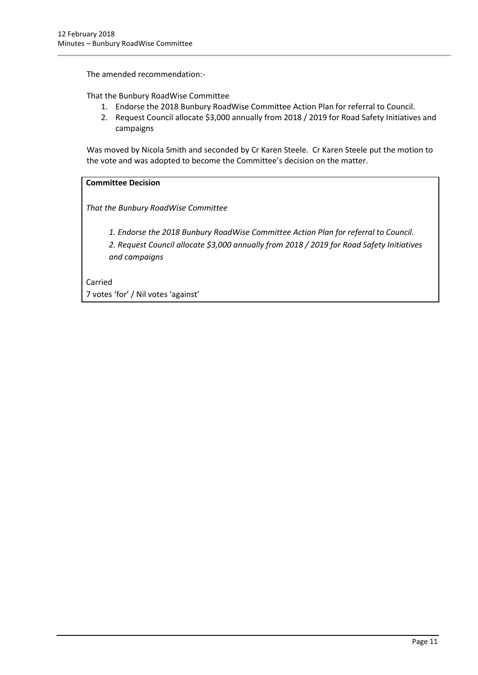The amended recommendation:-

That the Bunbury RoadWise Committee

- 1. Endorse the 2018 Bunbury RoadWise Committee Action Plan for referral to Council.
- 2. Request Council allocate \$3,000 annually from 2018 / 2019 for Road Safety Initiatives and campaigns

Was moved by Nicola Smith and seconded by Cr Karen Steele. Cr Karen Steele put the motion to the vote and was adopted to become the Committee's decision on the matter.

# **Committee Decision**

*That the Bunbury RoadWise Committee* 

*1. Endorse the 2018 Bunbury RoadWise Committee Action Plan for referral to Council.*

*2. Request Council allocate \$3,000 annually from 2018 / 2019 for Road Safety Initiatives and campaigns*

Carried 7 votes 'for' / Nil votes 'against'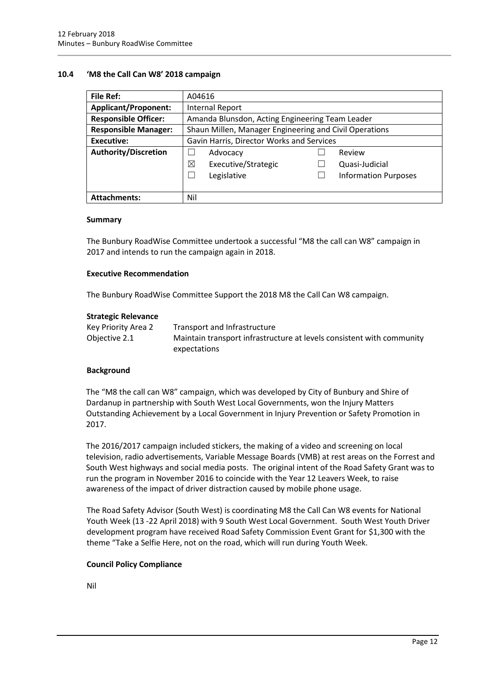## <span id="page-11-0"></span>**10.4 'M8 the Call Can W8' 2018 campaign**

| <b>File Ref:</b>            | A04616                                                 |  |
|-----------------------------|--------------------------------------------------------|--|
| <b>Applicant/Proponent:</b> | <b>Internal Report</b>                                 |  |
| <b>Responsible Officer:</b> | Amanda Blunsdon, Acting Engineering Team Leader        |  |
| <b>Responsible Manager:</b> | Shaun Millen, Manager Engineering and Civil Operations |  |
| <b>Executive:</b>           | Gavin Harris, Director Works and Services              |  |
| <b>Authority/Discretion</b> | Review<br>Advocacy                                     |  |
|                             | ⊠<br>Executive/Strategic<br>Quasi-Judicial             |  |
|                             | Legislative<br><b>Information Purposes</b>             |  |
|                             |                                                        |  |
| <b>Attachments:</b>         | Nil                                                    |  |

#### **Summary**

The Bunbury RoadWise Committee undertook a successful "M8 the call can W8" campaign in 2017 and intends to run the campaign again in 2018.

### **Executive Recommendation**

The Bunbury RoadWise Committee Support the 2018 M8 the Call Can W8 campaign.

#### **Strategic Relevance**

| Key Priority Area 2 | Transport and Infrastructure                                          |
|---------------------|-----------------------------------------------------------------------|
| Objective 2.1       | Maintain transport infrastructure at levels consistent with community |
|                     | expectations                                                          |

### **Background**

The "M8 the call can W8" campaign, which was developed by City of Bunbury and Shire of Dardanup in partnership with South West Local Governments, won the Injury Matters Outstanding Achievement by a Local Government in Injury Prevention or Safety Promotion in 2017.

The 2016/2017 campaign included stickers, the making of a video and screening on local television, radio advertisements, Variable Message Boards (VMB) at rest areas on the Forrest and South West highways and social media posts. The original intent of the Road Safety Grant was to run the program in November 2016 to coincide with the Year 12 Leavers Week, to raise awareness of the impact of driver distraction caused by mobile phone usage.

The Road Safety Advisor (South West) is coordinating M8 the Call Can W8 events for National Youth Week (13 -22 April 2018) with 9 South West Local Government. South West Youth Driver development program have received Road Safety Commission Event Grant for \$1,300 with the theme "Take a Selfie Here, not on the road, which will run during Youth Week.

### **Council Policy Compliance**

Nil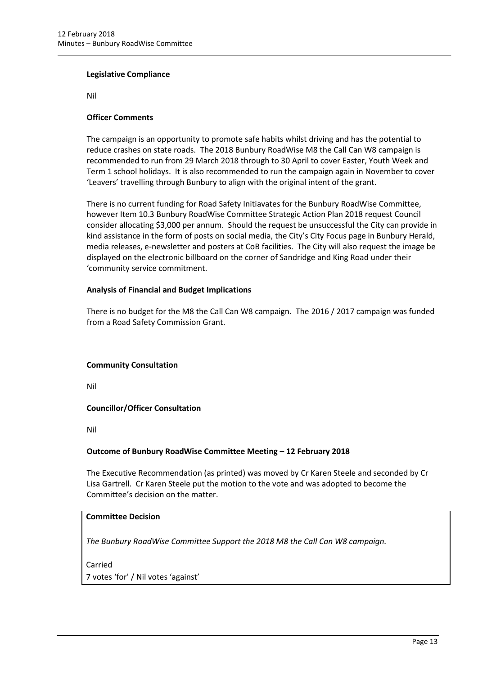### **Legislative Compliance**

Nil

## **Officer Comments**

The campaign is an opportunity to promote safe habits whilst driving and has the potential to reduce crashes on state roads. The 2018 Bunbury RoadWise M8 the Call Can W8 campaign is recommended to run from 29 March 2018 through to 30 April to cover Easter, Youth Week and Term 1 school holidays. It is also recommended to run the campaign again in November to cover 'Leavers' travelling through Bunbury to align with the original intent of the grant.

There is no current funding for Road Safety Initiavates for the Bunbury RoadWise Committee, however Item 10.3 Bunbury RoadWise Committee Strategic Action Plan 2018 request Council consider allocating \$3,000 per annum. Should the request be unsuccessful the City can provide in kind assistance in the form of posts on social media, the City's City Focus page in Bunbury Herald, media releases, e-newsletter and posters at CoB facilities. The City will also request the image be displayed on the electronic billboard on the corner of Sandridge and King Road under their 'community service commitment.

## **Analysis of Financial and Budget Implications**

There is no budget for the M8 the Call Can W8 campaign. The 2016 / 2017 campaign was funded from a Road Safety Commission Grant.

# **Community Consultation**

Nil

# **Councillor/Officer Consultation**

Nil

# **Outcome of Bunbury RoadWise Committee Meeting – 12 February 2018**

The Executive Recommendation (as printed) was moved by Cr Karen Steele and seconded by Cr Lisa Gartrell. Cr Karen Steele put the motion to the vote and was adopted to become the Committee's decision on the matter.

# **Committee Decision**

*The Bunbury RoadWise Committee Support the 2018 M8 the Call Can W8 campaign.*

Carried

7 votes 'for' / Nil votes 'against'